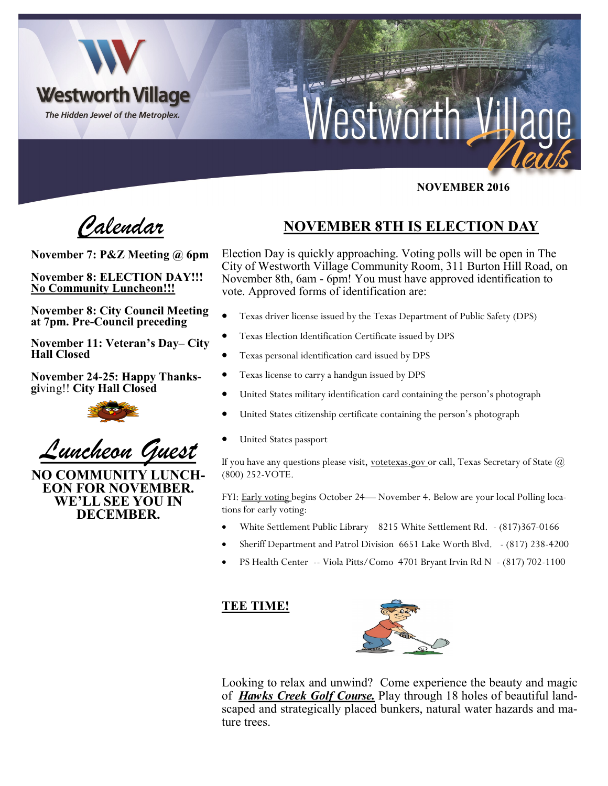

### **NOVEMBER 2016**

*Calendar*

**November 7: P&Z Meeting @ 6pm**

**November 8: ELECTION DAY!!! No Community Luncheon!!!**

**November 8: City Council Meeting at 7pm. Pre-Council preceding**

**November 11: Veteran's Day– City Hall Closed**

**November 24-25: Happy Thanksgi**ving!! **City Hall Closed** 



*Luncheon Guest*

**NO COMMUNITY LUNCH-EON FOR NOVEMBER. WE'LL SEE YOU IN DECEMBER.**

# **NOVEMBER 8TH IS ELECTION DAY**

Election Day is quickly approaching. Voting polls will be open in The City of Westworth Village Community Room, 311 Burton Hill Road, on November 8th, 6am - 6pm! You must have approved identification to vote. Approved forms of identification are:

- Texas driver license issued by the Texas Department of Public Safety (DPS)
- Texas Election Identification Certificate issued by DPS
- Texas personal identification card issued by DPS
- Texas license to carry a handgun issued by DPS
- United States military identification card containing the person's photograph
- United States citizenship certificate containing the person's photograph
- United States passport

If you have any questions please visit, votetexas.gov or call, Texas Secretary of State  $\omega$ (800) 252-VOTE.

FYI: Early voting begins October 24— November 4. Below are your local Polling locations for early voting:

- White Settlement Public Library 8215 White Settlement Rd. (817)367-0166
- Sheriff Department and Patrol Division 6651 Lake Worth Blvd. (817) 238-4200
- PS Health Center -- Viola Pitts/Como 4701 Bryant Irvin Rd N (817) 702-1100

#### **TEE TIME!**



Looking to relax and unwind? Come experience the beauty and magic of *Hawks Creek Golf Course.* Play through 18 holes of beautiful landscaped and strategically placed bunkers, natural water hazards and mature trees.